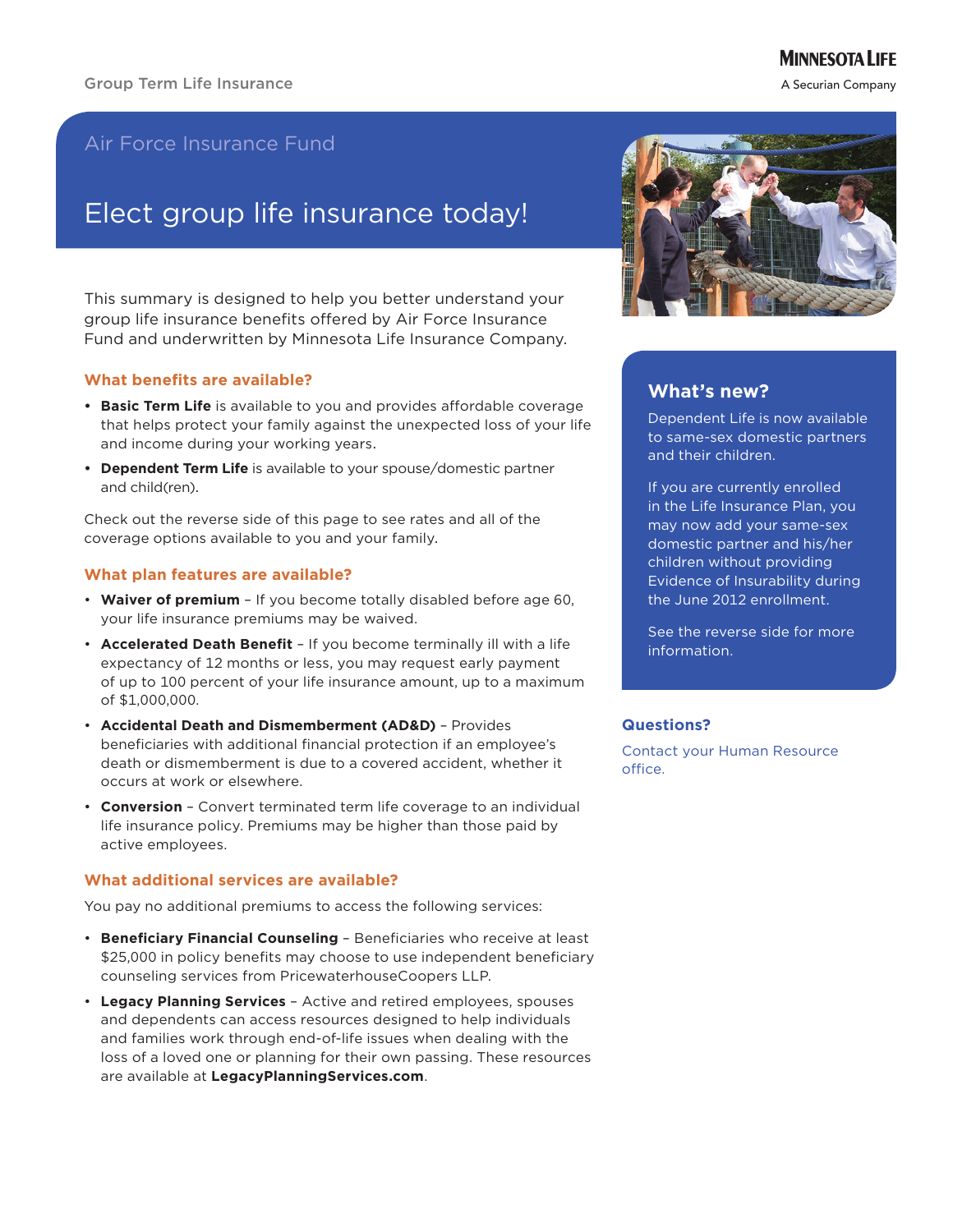# **MINNESOTA LIFE**

A Securian Company

# Air Force Insurance Fund

# Elect group life insurance today!

This summary is designed to help you better understand your group life insurance benefits offered by Air Force Insurance Fund and underwritten by Minnesota Life Insurance Company.

## **What benefits are available?**

- **Basic Term Life** is available to you and provides affordable coverage that helps protect your family against the unexpected loss of your life and income during your working years.
- **• Dependent Term Life** is available to your spouse/domestic partner and child(ren).

Check out the reverse side of this page to see rates and all of the coverage options available to you and your family.

## **What plan features are available?**

- Waiver of premium If you become totally disabled before age 60, your life insurance premiums may be waived.
- • **Accelerated Death Benefit** If you become terminally ill with a life expectancy of 12 months or less, you may request early payment of up to 100 percent of your life insurance amount, up to a maximum of \$1,000,000.
- • **Accidental Death and Dismemberment (AD&D)** Provides beneficiaries with additional financial protection if an employee's death or dismemberment is due to a covered accident, whether it occurs at work or elsewhere.
- • **Conversion**  Convert terminated term life coverage to an individual life insurance policy. Premiums may be higher than those paid by active employees.

#### **What additional services are available?**

You pay no additional premiums to access the following services:

- • **Beneficiary Financial Counseling** Beneficiaries who receive at least \$25,000 in policy benefits may choose to use independent beneficiary counseling services from PricewaterhouseCoopers LLP.
- • **Legacy Planning Services** Active and retired employees, spouses and dependents can access resources designed to help individuals and families work through end-of-life issues when dealing with the loss of a loved one or planning for their own passing. These resources are available at **LegacyPlanningServices.com**.



# **What's new?**

Dependent Life is now available to same-sex domestic partners and their children.

If you are currently enrolled in the Life Insurance Plan, you may now add your same-sex domestic partner and his/her children without providing Evidence of Insurability during the June 2012 enrollment.

See the reverse side for more information.

#### **Questions?**

Contact your Human Resource office.